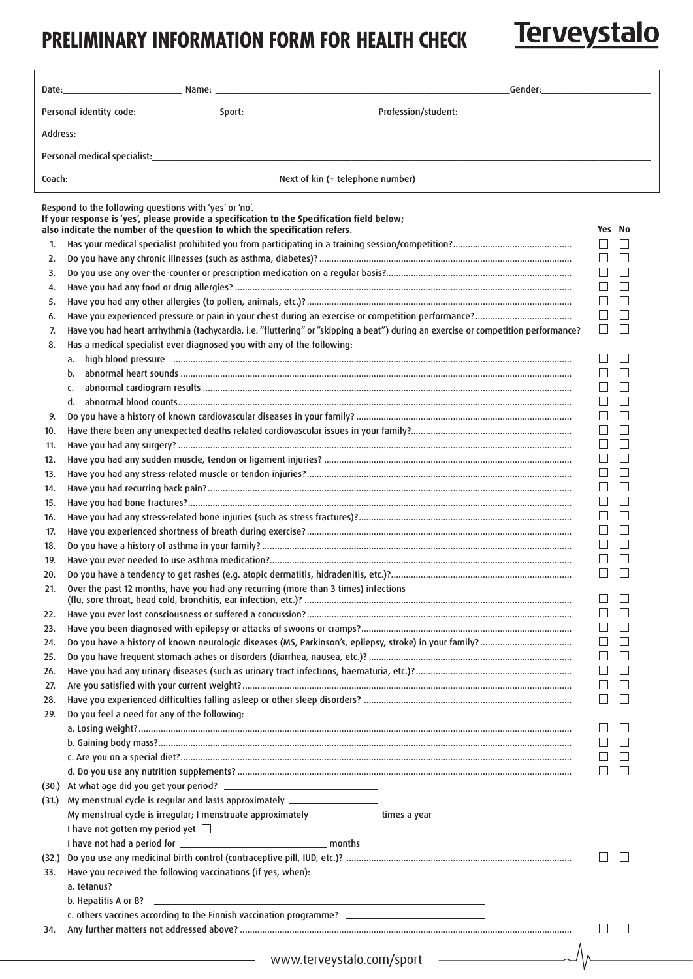## **PRELIMINARY INFORMATION FORM FOR HEALTH CHECK**

Terveystalo

| Coach: Coach: Coach Coach Coach Coach Coach Coach Coach Coach Coach Coach Coach Coach Coach Coach Coach Coach Coach Coach Coach Coach Coach Coach Coach Coach Coach Coach Coach Coach Coach Coach Coach Coach Coach Coach Coac                 |                                                                                                                                                                                                                                    |                        |        |  |
|------------------------------------------------------------------------------------------------------------------------------------------------------------------------------------------------------------------------------------------------|------------------------------------------------------------------------------------------------------------------------------------------------------------------------------------------------------------------------------------|------------------------|--------|--|
| Respond to the following questions with 'yes' or 'no'.<br>If your response is 'yes', please provide a specification to the Specification field below;<br>also indicate the number of the question to which the specification refers.<br>Yes No |                                                                                                                                                                                                                                    |                        |        |  |
| 1.                                                                                                                                                                                                                                             |                                                                                                                                                                                                                                    | $\Box$                 |        |  |
| 2.                                                                                                                                                                                                                                             |                                                                                                                                                                                                                                    | $\Box$                 |        |  |
| 3.                                                                                                                                                                                                                                             |                                                                                                                                                                                                                                    | $\perp$                |        |  |
| 4.                                                                                                                                                                                                                                             |                                                                                                                                                                                                                                    | $\mathbf{I}$           |        |  |
| 5.                                                                                                                                                                                                                                             |                                                                                                                                                                                                                                    | $\perp$                |        |  |
| 6.                                                                                                                                                                                                                                             |                                                                                                                                                                                                                                    | $\Box$                 |        |  |
| 7.                                                                                                                                                                                                                                             | Have you had heart arrhythmia (tachycardia, i.e. "fluttering" or "skipping a beat") during an exercise or competition performance?                                                                                                 | $\Box$                 |        |  |
| 8.                                                                                                                                                                                                                                             | Has a medical specialist ever diagnosed you with any of the following:                                                                                                                                                             |                        |        |  |
|                                                                                                                                                                                                                                                |                                                                                                                                                                                                                                    |                        |        |  |
|                                                                                                                                                                                                                                                | b.                                                                                                                                                                                                                                 | $\Box$                 |        |  |
|                                                                                                                                                                                                                                                | c.                                                                                                                                                                                                                                 | $\Box$                 |        |  |
|                                                                                                                                                                                                                                                | d.                                                                                                                                                                                                                                 | $\Box$                 |        |  |
| 9.                                                                                                                                                                                                                                             |                                                                                                                                                                                                                                    | $\Box$                 |        |  |
| 10.                                                                                                                                                                                                                                            |                                                                                                                                                                                                                                    | $\Box$                 |        |  |
| 11.                                                                                                                                                                                                                                            |                                                                                                                                                                                                                                    | $\Box$                 | $\Box$ |  |
| 12.                                                                                                                                                                                                                                            |                                                                                                                                                                                                                                    | $\Box$                 |        |  |
| 13.                                                                                                                                                                                                                                            |                                                                                                                                                                                                                                    | $\Box$                 |        |  |
| 14.                                                                                                                                                                                                                                            |                                                                                                                                                                                                                                    | $\mathbf{I}$<br>$\Box$ |        |  |
| 15.                                                                                                                                                                                                                                            |                                                                                                                                                                                                                                    | $\Box$                 |        |  |
| 16.<br>17.                                                                                                                                                                                                                                     |                                                                                                                                                                                                                                    | $\Box$                 |        |  |
| 18.                                                                                                                                                                                                                                            |                                                                                                                                                                                                                                    |                        |        |  |
| 19.                                                                                                                                                                                                                                            |                                                                                                                                                                                                                                    |                        |        |  |
| 20.                                                                                                                                                                                                                                            |                                                                                                                                                                                                                                    | $\Box$                 |        |  |
| 21.                                                                                                                                                                                                                                            | Over the past 12 months, have you had any recurring (more than 3 times) infections                                                                                                                                                 |                        |        |  |
|                                                                                                                                                                                                                                                |                                                                                                                                                                                                                                    | $\Box$                 | $\Box$ |  |
| 22.                                                                                                                                                                                                                                            |                                                                                                                                                                                                                                    |                        |        |  |
| 23.                                                                                                                                                                                                                                            |                                                                                                                                                                                                                                    | $\Box$                 |        |  |
| 24.                                                                                                                                                                                                                                            |                                                                                                                                                                                                                                    | $\mathbf{L}$           |        |  |
| 25.                                                                                                                                                                                                                                            |                                                                                                                                                                                                                                    | $\Box$                 |        |  |
| 26.                                                                                                                                                                                                                                            |                                                                                                                                                                                                                                    |                        |        |  |
| 27.                                                                                                                                                                                                                                            |                                                                                                                                                                                                                                    |                        |        |  |
| 28.                                                                                                                                                                                                                                            |                                                                                                                                                                                                                                    | $\Box$                 |        |  |
| 29.                                                                                                                                                                                                                                            | Do you feel a need for any of the following:                                                                                                                                                                                       |                        |        |  |
|                                                                                                                                                                                                                                                |                                                                                                                                                                                                                                    |                        |        |  |
|                                                                                                                                                                                                                                                |                                                                                                                                                                                                                                    |                        |        |  |
|                                                                                                                                                                                                                                                |                                                                                                                                                                                                                                    |                        |        |  |
|                                                                                                                                                                                                                                                |                                                                                                                                                                                                                                    |                        |        |  |
|                                                                                                                                                                                                                                                |                                                                                                                                                                                                                                    |                        |        |  |
|                                                                                                                                                                                                                                                | (31.) My menstrual cycle is regular and lasts approximately ____________________<br>My menstrual cycle is irregular; I menstruate approximately ______________ times a year                                                        |                        |        |  |
|                                                                                                                                                                                                                                                | I have not gotten my period yet $\Box$                                                                                                                                                                                             |                        |        |  |
|                                                                                                                                                                                                                                                |                                                                                                                                                                                                                                    |                        |        |  |
|                                                                                                                                                                                                                                                |                                                                                                                                                                                                                                    |                        |        |  |
| 33.                                                                                                                                                                                                                                            | Have you received the following vaccinations (if yes, when):                                                                                                                                                                       |                        |        |  |
|                                                                                                                                                                                                                                                |                                                                                                                                                                                                                                    |                        |        |  |
|                                                                                                                                                                                                                                                | b. Hepatitis A or B? <b>Example 20</b> and the second contract of the second contract of the second contract of the second contract of the second contract of the second contract of the second contract of the second contract of |                        |        |  |
|                                                                                                                                                                                                                                                | c. others vaccines according to the Finnish vaccination programme? ________________________________                                                                                                                                |                        |        |  |
| 34.                                                                                                                                                                                                                                            |                                                                                                                                                                                                                                    |                        |        |  |
|                                                                                                                                                                                                                                                |                                                                                                                                                                                                                                    |                        |        |  |
|                                                                                                                                                                                                                                                | www.terveystalo.com/sport                                                                                                                                                                                                          |                        |        |  |